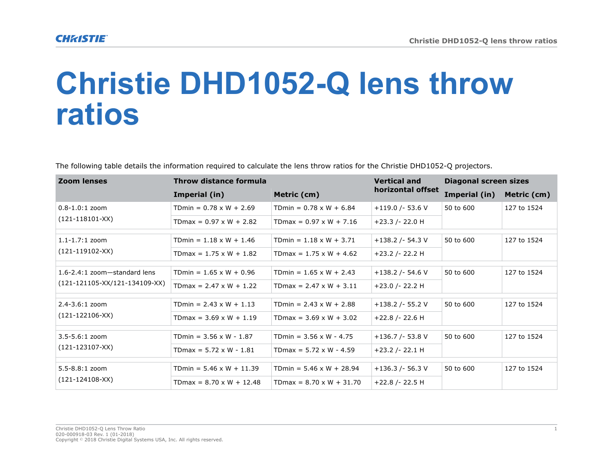## **Christie DHD1052-Q lens throw ratios**

The following table details the information required to calculate the lens throw ratios for the Christie DHD1052-Q projectors.

| <b>Zoom lenses</b>                                              | Throw distance formula          |                                 | <b>Vertical and</b> | <b>Diagonal screen sizes</b> |             |
|-----------------------------------------------------------------|---------------------------------|---------------------------------|---------------------|------------------------------|-------------|
|                                                                 | Imperial (in)                   | Metric (cm)                     | horizontal offset   | Imperial (in)                | Metric (cm) |
| $0.8 - 1.0:1$ zoom<br>$(121-118101-XX)$                         | TDmin = $0.78 \times W + 2.69$  | TDmin = $0.78 \times W + 6.84$  | $+119.0$ /-53.6 V   | 50 to 600                    | 127 to 1524 |
|                                                                 | TDmax = $0.97 \times W + 2.82$  | TDmax = $0.97 \times W + 7.16$  | $+23.3$ /- 22.0 H   |                              |             |
| $1.1 - 1.7:1$ zoom<br>$(121-119102-XX)$                         | TDmin = $1.18 \times W + 1.46$  | TDmin = $1.18 \times W + 3.71$  | $+138.2$ /- 54.3 V  | 50 to 600                    | 127 to 1524 |
|                                                                 | TDmax = $1.75 \times W + 1.82$  | TDmax = $1.75 \times W + 4.62$  | +23.2 /- 22.2 H     |                              |             |
| 1.6-2.4:1 zoom-standard lens<br>$(121-121105-XX/121-134109-XX)$ | TDmin = $1.65 \times W + 0.96$  | TDmin = $1.65 \times W + 2.43$  | $+138.2$ /- 54.6 V  | 50 to 600                    | 127 to 1524 |
|                                                                 | TDmax = $2.47 \times W + 1.22$  | TDmax = $2.47 \times W + 3.11$  | $+23.0$ /- 22.2 H   |                              |             |
| $2.4 - 3.6:1$ zoom<br>$(121 - 122106 - XX)$                     | TDmin = $2.43 \times W + 1.13$  | TDmin = $2.43 \times W + 2.88$  | $+138.2$ /- 55.2 V  | 50 to 600                    | 127 to 1524 |
|                                                                 | TDmax = $3.69 \times W + 1.19$  | TDmax = $3.69 \times W + 3.02$  | $+22.8$ /- 22.6 H   |                              |             |
| $3.5 - 5.6:1$ zoom<br>$(121 - 123107 - XX)$                     | TDmin = $3.56 \times W - 1.87$  | TDmin = $3.56 \times W - 4.75$  | $+136.7$ /- 53.8 V  | 50 to 600                    | 127 to 1524 |
|                                                                 | TDmax = $5.72 \times W - 1.81$  | TDmax = $5.72 \times W - 4.59$  | $+23.2$ /- 22.1 H   |                              |             |
| 5.5-8.8:1 zoom<br>$(121 - 124108 - XX)$                         | TDmin = $5.46 \times W + 11.39$ | TDmin = $5.46 \times W + 28.94$ | $+136.3$ /- 56.3 V  | 50 to 600                    | 127 to 1524 |
|                                                                 | TDmax = $8.70 \times W + 12.48$ | TDmax = $8.70 \times W + 31.70$ | $+22.8$ /- 22.5 H   |                              |             |